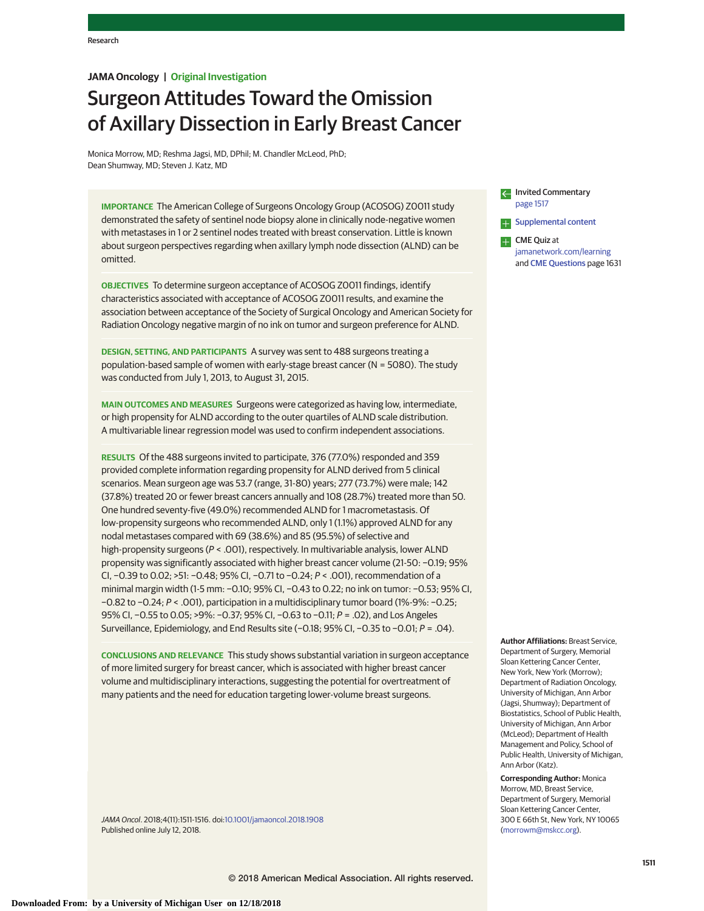## **JAMA Oncology | Original Investigation**

# Surgeon Attitudes Toward the Omission of Axillary Dissection in Early Breast Cancer

Monica Morrow, MD; Reshma Jagsi, MD, DPhil; M. Chandler McLeod, PhD; Dean Shumway, MD; Steven J. Katz, MD

**IMPORTANCE** The American College of Surgeons Oncology Group (ACOSOG) Z0011 study demonstrated the safety of sentinel node biopsy alone in clinically node-negative women with metastases in 1 or 2 sentinel nodes treated with breast conservation. Little is known about surgeon perspectives regarding when axillary lymph node dissection (ALND) can be omitted.

**OBJECTIVES** To determine surgeon acceptance of ACOSOG Z0011 findings, identify characteristics associated with acceptance of ACOSOG Z0011 results, and examine the association between acceptance of the Society of Surgical Oncology and American Society for Radiation Oncology negative margin of no ink on tumor and surgeon preference for ALND.

**DESIGN, SETTING, AND PARTICIPANTS** A survey was sent to 488 surgeons treating a population-based sample of women with early-stage breast cancer (N = 5080). The study was conducted from July 1, 2013, to August 31, 2015.

**MAIN OUTCOMES AND MEASURES** Surgeons were categorized as having low, intermediate, or high propensity for ALND according to the outer quartiles of ALND scale distribution. A multivariable linear regression model was used to confirm independent associations.

**RESULTS** Of the 488 surgeons invited to participate, 376 (77.0%) responded and 359 provided complete information regarding propensity for ALND derived from 5 clinical scenarios. Mean surgeon age was 53.7 (range, 31-80) years; 277 (73.7%) were male; 142 (37.8%) treated 20 or fewer breast cancers annually and 108 (28.7%) treated more than 50. One hundred seventy-five (49.0%) recommended ALND for 1 macrometastasis. Of low-propensity surgeons who recommended ALND, only 1 (1.1%) approved ALND for any nodal metastases compared with 69 (38.6%) and 85 (95.5%) of selective and high-propensity surgeons (P < .001), respectively. In multivariable analysis, lower ALND propensity was significantly associated with higher breast cancer volume (21-50: −0.19; 95% CI, −0.39 to 0.02; >51: −0.48; 95% CI, −0.71 to −0.24; P < .001), recommendation of a minimal margin width (1-5 mm: −0.10; 95% CI, −0.43 to 0.22; no ink on tumor: −0.53; 95% CI, −0.82 to −0.24; P < .001), participation in a multidisciplinary tumor board (1%-9%: −0.25; 95% CI, −0.55 to 0.05; >9%: −0.37; 95% CI, −0.63 to −0.11; P = .02), and Los Angeles Surveillance, Epidemiology, and End Results site (−0.18; 95% CI, −0.35 to −0.01; P = .04).

**CONCLUSIONS AND RELEVANCE** This study shows substantial variation in surgeon acceptance of more limited surgery for breast cancer, which is associated with higher breast cancer volume and multidisciplinary interactions, suggesting the potential for overtreatment of many patients and the need for education targeting lower-volume breast surgeons.

JAMA Oncol. 2018;4(11):1511-1516. doi[:10.1001/jamaoncol.2018.1908](https://jama.jamanetwork.com/article.aspx?doi=10.1001/jamaoncol.2018.1908&utm_campaign=articlePDF%26utm_medium=articlePDFlink%26utm_source=articlePDF%26utm_content=jamaoncol.2018.1908) Published online July 12, 2018.

Invited Commentary [page 1517](https://jama.jamanetwork.com/article.aspx?doi=10.1001/jamaoncol.2018.1939&utm_campaign=articlePDF%26utm_medium=articlePDFlink%26utm_source=articlePDF%26utm_content=jamaoncol.2018.1908) **Supplemental content** 

**CME** Quiz at [jamanetwork.com/learning](https://jama.jamanetwork.com/learning/article-quiz/10.1001/jamaoncol.2018.1908/?utm_campaign=articlePDF%26utm_medium=articlePDFlink%26utm_source=articlePDF%26utm_content=jamaoncol.2018.1908) and [CME Questions](https://jama.jamanetwork.com/learning/article-quiz/10.1001/jamaoncol.2018.1908/?utm_campaign=articlePDF%26utm_medium=articlePDFlink%26utm_source=articlePDF%26utm_content=jamaoncol.2018.1908) page 1631

**Author Affiliations:** Breast Service, Department of Surgery, Memorial Sloan Kettering Cancer Center, New York, New York (Morrow); Department of Radiation Oncology, University of Michigan, Ann Arbor (Jagsi, Shumway); Department of Biostatistics, School of Public Health, University of Michigan, Ann Arbor (McLeod); Department of Health Management and Policy, School of Public Health, University of Michigan, Ann Arbor (Katz).

**Corresponding Author:** Monica Morrow, MD, Breast Service, Department of Surgery, Memorial Sloan Kettering Cancer Center, 300 E 66th St, New York, NY 10065 [\(morrowm@mskcc.org\)](mailto:morrowm@mskcc.org).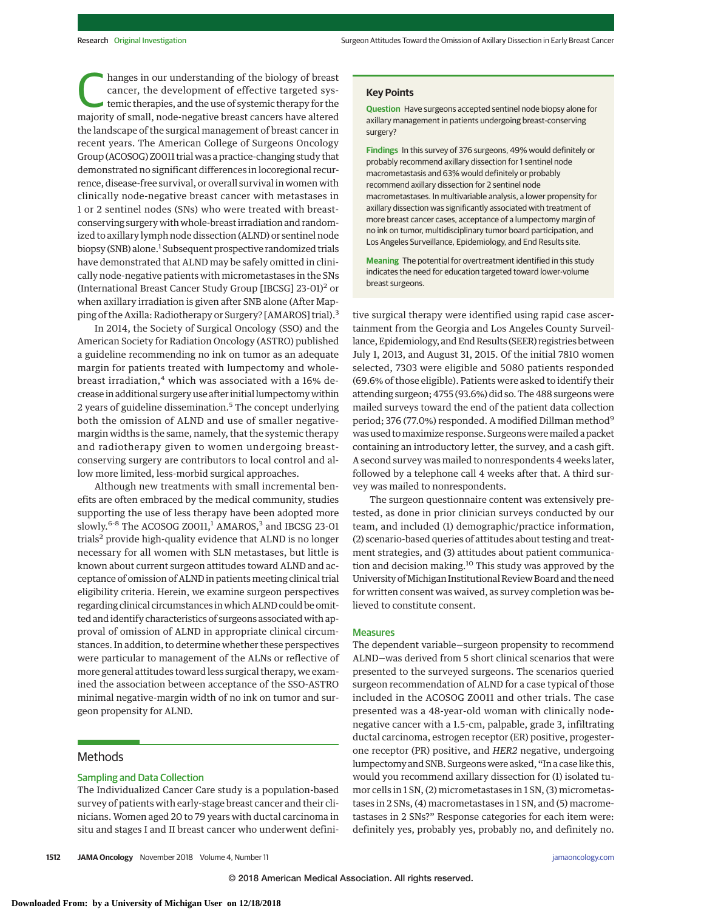hanges in our understanding of the biology of breast<br>cancer, the development of effective targeted sys-<br>temic therapies, and the use of systemic therapy for the<br>majority of small, nodo-negative breast sancers have altered cancer, the development of effective targeted sysmajority of small, node-negative breast cancers have altered the landscape of the surgical management of breast cancer in recent years. The American College of Surgeons Oncology Group (ACOSOG) Z0011 trial was a practice-changing study that demonstrated no significant differences in locoregional recurrence, disease-free survival, or overall survival in women with clinically node-negative breast cancer with metastases in 1 or 2 sentinel nodes (SNs) who were treated with breastconserving surgery with whole-breast irradiation and randomized to axillary lymph node dissection (ALND) or sentinel node biopsy (SNB) alone.<sup>1</sup> Subsequent prospective randomized trials have demonstrated that ALND may be safely omitted in clinically node-negative patients with micrometastases in the SNs (International Breast Cancer Study Group [IBCSG] 23-01)<sup>2</sup> or when axillary irradiation is given after SNB alone (After Mapping of the Axilla: Radiotherapy or Surgery? [AMAROS] trial).<sup>3</sup>

In 2014, the Society of Surgical Oncology (SSO) and the American Society for Radiation Oncology (ASTRO) published a guideline recommending no ink on tumor as an adequate margin for patients treated with lumpectomy and wholebreast irradiation,<sup>4</sup> which was associated with a 16% decrease in additional surgery use after initial lumpectomy within 2 years of guideline dissemination.<sup>5</sup> The concept underlying both the omission of ALND and use of smaller negativemargin widths is the same, namely, that the systemic therapy and radiotherapy given to women undergoing breastconserving surgery are contributors to local control and allow more limited, less-morbid surgical approaches.

Although new treatments with small incremental benefits are often embraced by the medical community, studies supporting the use of less therapy have been adopted more slowly.<sup>6-8</sup> The ACOSOG Z0011,<sup>1</sup> AMAROS,<sup>3</sup> and IBCSG 23-01 trials<sup>2</sup> provide high-quality evidence that ALND is no longer necessary for all women with SLN metastases, but little is known about current surgeon attitudes toward ALND and acceptance of omission of ALND in patients meeting clinical trial eligibility criteria. Herein, we examine surgeon perspectives regarding clinical circumstances in which ALND could be omitted and identify characteristics of surgeons associated with approval of omission of ALND in appropriate clinical circumstances. In addition, to determine whether these perspectives were particular to management of the ALNs or reflective of more general attitudes toward less surgical therapy, we examined the association between acceptance of the SSO-ASTRO minimal negative-margin width of no ink on tumor and surgeon propensity for ALND.

### **Methods**

## Sampling and Data Collection

The Individualized Cancer Care study is a population-based survey of patients with early-stage breast cancer and their clinicians. Women aged 20 to 79 years with ductal carcinoma in situ and stages I and II breast cancer who underwent defini**Question** Have surgeons accepted sentinel node biopsy alone for axillary management in patients undergoing breast-conserving surgery?

**Findings** In this survey of 376 surgeons, 49% would definitely or probably recommend axillary dissection for 1 sentinel node macrometastasis and 63% would definitely or probably recommend axillary dissection for 2 sentinel node macrometastases. In multivariable analysis, a lower propensity for axillary dissection was significantly associated with treatment of more breast cancer cases, acceptance of a lumpectomy margin of no ink on tumor, multidisciplinary tumor board participation, and Los Angeles Surveillance, Epidemiology, and End Results site.

**Meaning** The potential for overtreatment identified in this study indicates the need for education targeted toward lower-volume breast surgeons.

tive surgical therapy were identified using rapid case ascertainment from the Georgia and Los Angeles County Surveillance, Epidemiology, and End Results (SEER) registries between July 1, 2013, and August 31, 2015. Of the initial 7810 women selected, 7303 were eligible and 5080 patients responded (69.6% of those eligible). Patients were asked to identify their attending surgeon; 4755 (93.6%) did so. The 488 surgeons were mailed surveys toward the end of the patient data collection period; 376 (77.0%) responded. A modified Dillman method<sup>9</sup> was used tomaximize response. Surgeonsweremailed a packet containing an introductory letter, the survey, and a cash gift. A second survey was mailed to nonrespondents 4 weeks later, followed by a telephone call 4 weeks after that. A third survey was mailed to nonrespondents.

The surgeon questionnaire content was extensively pretested, as done in prior clinician surveys conducted by our team, and included (1) demographic/practice information, (2) scenario-based queries of attitudes about testing and treatment strategies, and (3) attitudes about patient communication and decision making.<sup>10</sup> This study was approved by the University of Michigan Institutional Review Board and the need for written consent was waived, as survey completion was believed to constitute consent.

#### Measures

The dependent variable—surgeon propensity to recommend ALND—was derived from 5 short clinical scenarios that were presented to the surveyed surgeons. The scenarios queried surgeon recommendation of ALND for a case typical of those included in the ACOSOG Z0011 and other trials. The case presented was a 48-year-old woman with clinically nodenegative cancer with a 1.5-cm, palpable, grade 3, infiltrating ductal carcinoma, estrogen receptor (ER) positive, progesterone receptor (PR) positive, and *HER2* negative, undergoing lumpectomy and SNB. Surgeonswere asked, "In a case like this, would you recommend axillary dissection for (1) isolated tumor cells in 1 SN, (2) micrometastases in 1 SN, (3) micrometastases in 2 SNs, (4) macrometastases in 1 SN, and (5) macrometastases in 2 SNs?" Response categories for each item were: definitely yes, probably yes, probably no, and definitely no.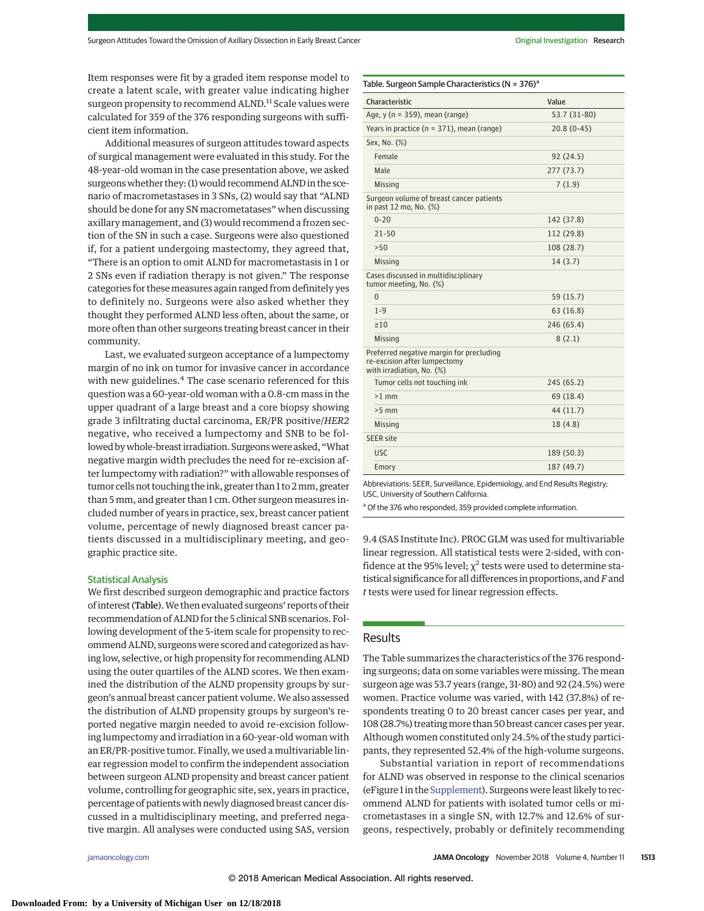Item responses were fit by a graded item response model to create a latent scale, with greater value indicating higher surgeon propensity to recommend ALND.<sup>11</sup> Scale values were calculated for 359 of the 376 responding surgeons with sufficient item information.

Additional measures of surgeon attitudes toward aspects of surgical management were evaluated in this study. For the 48-year-old woman in the case presentation above, we asked surgeons whether they: (1) would recommend ALND in the scenario of macrometastases in 3 SNs, (2) would say that "ALND should be done for any SN macrometatases" when discussing axillary management, and (3) would recommend a frozen section of the SN in such a case. Surgeons were also questioned if, for a patient undergoing mastectomy, they agreed that, "There is an option to omit ALND for macrometastasis in 1 or 2 SNs even if radiation therapy is not given." The response categories for these measures again ranged from definitely yes to definitely no. Surgeons were also asked whether they thought they performed ALND less often, about the same, or more often than other surgeons treating breast cancer in their community.

Last, we evaluated surgeon acceptance of a lumpectomy margin of no ink on tumor for invasive cancer in accordance with new guidelines.<sup>4</sup> The case scenario referenced for this question was a 60-year-old woman with a 0.8-cm mass in the upper quadrant of a large breast and a core biopsy showing grade 3 infiltrating ductal carcinoma, ER/PR positive/*HER2* negative, who received a lumpectomy and SNB to be followed by whole-breast irradiation. Surgeons were asked, "What negative margin width precludes the need for re-excision after lumpectomy with radiation?" with allowable responses of tumor cells not touching the ink, greater than 1 to 2mm, greater than 5 mm, and greater than 1 cm. Other surgeon measures included number of years in practice, sex, breast cancer patient volume, percentage of newly diagnosed breast cancer patients discussed in a multidisciplinary meeting, and geographic practice site.

#### Statistical Analysis

We first described surgeon demographic and practice factors of interest (Table).We then evaluated surgeons' reports of their recommendation of ALND for the 5 clinical SNB scenarios. Following development of the 5-item scale for propensity to recommend ALND, surgeons were scored and categorized as having low, selective, or high propensity for recommending ALND using the outer quartiles of the ALND scores. We then examined the distribution of the ALND propensity groups by surgeon's annual breast cancer patient volume. We also assessed the distribution of ALND propensity groups by surgeon's reported negative margin needed to avoid re-excision following lumpectomy and irradiation in a 60-year-old woman with an ER/PR-positive tumor. Finally, we used a multivariable linear regression model to confirm the independent association between surgeon ALND propensity and breast cancer patient volume, controlling for geographic site, sex, years in practice, percentage of patients with newly diagnosed breast cancer discussed in a multidisciplinary meeting, and preferred negative margin. All analyses were conducted using SAS, version

| Characteristic                                                                                        | Value        |
|-------------------------------------------------------------------------------------------------------|--------------|
| Age, $y(n = 359)$ , mean (range)                                                                      | 53.7 (31-80) |
| Years in practice ( $n = 371$ ), mean (range)                                                         | $20.8(0-45)$ |
| Sex, No. (%)                                                                                          |              |
| Female                                                                                                | 92(24.5)     |
| Male                                                                                                  | 277(73.7)    |
| <b>Missing</b>                                                                                        | 7(1.9)       |
| Surgeon volume of breast cancer patients<br>in past 12 mo, No. (%)                                    |              |
| $0 - 20$                                                                                              | 142 (37.8)   |
| $21 - 50$                                                                                             | 112 (29.8)   |
| >50                                                                                                   | 108 (28.7)   |
| <b>Missing</b>                                                                                        | 14(3.7)      |
| Cases discussed in multidisciplinary<br>tumor meeting, No. (%)                                        |              |
| $\Omega$                                                                                              | 59 (15.7)    |
| $1 - 9$                                                                                               | 63(16.8)     |
| $\geq 10$                                                                                             | 246 (65.4)   |
| <b>Missing</b>                                                                                        | 8(2.1)       |
| Preferred negative margin for precluding<br>re-excision after lumpectomy<br>with irradiation, No. (%) |              |
| Tumor cells not touching ink                                                                          | 245 (65.2)   |
| $>1$ mm                                                                                               | 69 (18.4)    |
| $>5$ mm                                                                                               | 44 (11.7)    |
| Missing                                                                                               | 18(4.8)      |
| <b>SEER site</b>                                                                                      |              |
| <b>USC</b>                                                                                            | 189 (50.3)   |
| Emory                                                                                                 | 187 (49.7)   |
|                                                                                                       |              |

Abbreviations: SEER, Surveillance, Epidemiology, and End Results Registry; USC, University of Southern California.

<sup>a</sup> Of the 376 who responded, 359 provided complete information.

9.4 (SAS Institute Inc). PROC GLM was used for multivariable linear regression. All statistical tests were 2-sided, with confidence at the 95% level;  $\chi^2$  tests were used to determine statistical significance for all differences in proportions, and*F*and *t* tests were used for linear regression effects.

## **Results**

The Table summarizes the characteristics of the 376 responding surgeons; data on some variables were missing. The mean surgeon age was 53.7 years (range, 31-80) and 92 (24.5%) were women. Practice volume was varied, with 142 (37.8%) of respondents treating 0 to 20 breast cancer cases per year, and 108 (28.7%) treating more than 50 breast cancer cases per year. Although women constituted only 24.5% of the study participants, they represented 52.4% of the high-volume surgeons.

Substantial variation in report of recommendations for ALND was observed in response to the clinical scenarios (eFigure 1 in the [Supplement\)](https://jama.jamanetwork.com/article.aspx?doi=10.1001/jamaoncol.2018.1908&utm_campaign=articlePDF%26utm_medium=articlePDFlink%26utm_source=articlePDF%26utm_content=jamaoncol.2018.1908). Surgeons were least likely to recommend ALND for patients with isolated tumor cells or micrometastases in a single SN, with 12.7% and 12.6% of surgeons, respectively, probably or definitely recommending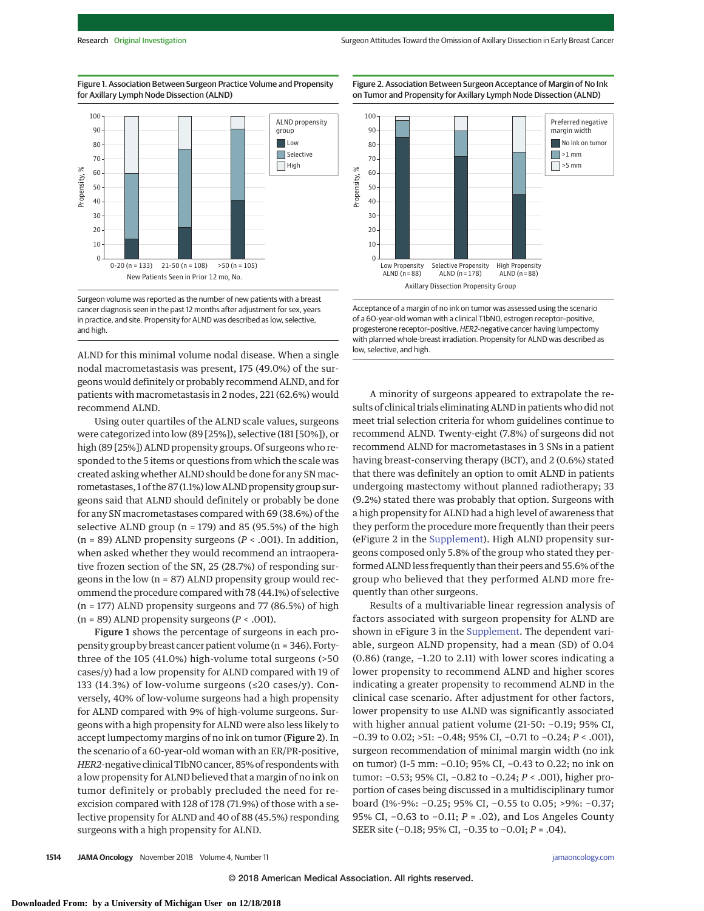Figure 2. Association Between Surgeon Acceptance of Margin of No Ink

Figure 1. Association Between Surgeon Practice Volume and Propensity for Axillary Lymph Node Dissection (ALND)



Surgeon volume was reported as the number of new patients with a breast cancer diagnosis seen in the past 12 months after adjustment for sex, years in practice, and site. Propensity for ALND was described as low, selective, and high.

ALND for this minimal volume nodal disease. When a single nodal macrometastasis was present, 175 (49.0%) of the surgeons would definitely or probably recommend ALND, and for patients with macrometastasis in 2 nodes, 221 (62.6%) would recommend ALND.

Using outer quartiles of the ALND scale values, surgeons were categorized into low (89 [25%]), selective (181 [50%]), or high (89 [25%]) ALND propensity groups. Of surgeons who responded to the 5 items or questions from which the scale was created asking whether ALND should be done for any SN macrometastases, 1 of the 87 (1.1%) low ALND propensity group surgeons said that ALND should definitely or probably be done for any SN macrometastases compared with 69 (38.6%) of the selective ALND group ( $n = 179$ ) and 85 (95.5%) of the high  $(n = 89)$  ALND propensity surgeons  $(P < .001)$ . In addition, when asked whether they would recommend an intraoperative frozen section of the SN, 25 (28.7%) of responding surgeons in the low (n = 87) ALND propensity group would recommend the procedure compared with 78 (44.1%) of selective (n = 177) ALND propensity surgeons and 77 (86.5%) of high (n = 89) ALND propensity surgeons (*P* < .001).

Figure 1 shows the percentage of surgeons in each propensity group by breast cancer patient volume (n = 346). Fortythree of the 105 (41.0%) high-volume total surgeons (>50 cases/y) had a low propensity for ALND compared with 19 of 133 (14.3%) of low-volume surgeons (≤20 cases/y). Conversely, 40% of low-volume surgeons had a high propensity for ALND compared with 9% of high-volume surgeons. Surgeons with a high propensity for ALND were also less likely to accept lumpectomy margins of no ink on tumor (Figure 2). In the scenario of a 60-year-old woman with an ER/PR-positive, *HER2*-negative clinical T1bN0 cancer, 85% of respondents with a low propensity for ALND believed that a margin of no ink on tumor definitely or probably precluded the need for reexcision compared with 128 of 178 (71.9%) of those with a selective propensity for ALND and 40 of 88 (45.5%) responding surgeons with a high propensity for ALND.



Acceptance of a margin of no ink on tumor was assessed using the scenario of a 60-year-old woman with a clinical T1bN0, estrogen receptor–positive, progesterone receptor–positive, HER2-negative cancer having lumpectomy with planned whole-breast irradiation. Propensity for ALND was described as low, selective, and high.

A minority of surgeons appeared to extrapolate the results of clinical trials eliminating ALND in patients who did not meet trial selection criteria for whom guidelines continue to recommend ALND. Twenty-eight (7.8%) of surgeons did not recommend ALND for macrometastases in 3 SNs in a patient having breast-conserving therapy (BCT), and 2 (0.6%) stated that there was definitely an option to omit ALND in patients undergoing mastectomy without planned radiotherapy; 33 (9.2%) stated there was probably that option. Surgeons with a high propensity for ALND had a high level of awareness that they perform the procedure more frequently than their peers (eFigure 2 in the [Supplement\)](https://jama.jamanetwork.com/article.aspx?doi=10.1001/jamaoncol.2018.1908&utm_campaign=articlePDF%26utm_medium=articlePDFlink%26utm_source=articlePDF%26utm_content=jamaoncol.2018.1908). High ALND propensity surgeons composed only 5.8% of the group who stated they performed ALND less frequently than their peers and 55.6% of the group who believed that they performed ALND more frequently than other surgeons.

Results of a multivariable linear regression analysis of factors associated with surgeon propensity for ALND are shown in eFigure 3 in the [Supplement.](https://jama.jamanetwork.com/article.aspx?doi=10.1001/jamaoncol.2018.1908&utm_campaign=articlePDF%26utm_medium=articlePDFlink%26utm_source=articlePDF%26utm_content=jamaoncol.2018.1908) The dependent variable, surgeon ALND propensity, had a mean (SD) of 0.04 (0.86) (range, −1.20 to 2.11) with lower scores indicating a lower propensity to recommend ALND and higher scores indicating a greater propensity to recommend ALND in the clinical case scenario. After adjustment for other factors, lower propensity to use ALND was significantly associated with higher annual patient volume (21-50: −0.19; 95% CI, −0.39 to 0.02; >51: −0.48; 95% CI, −0.71 to −0.24; *P* < .001), surgeon recommendation of minimal margin width (no ink on tumor) (1-5 mm: −0.10; 95% CI, −0.43 to 0.22; no ink on tumor: −0.53; 95% CI, −0.82 to −0.24; *P* < .001), higher proportion of cases being discussed in a multidisciplinary tumor board (1%-9%: −0.25; 95% CI, −0.55 to 0.05; >9%: −0.37; 95% CI, −0.63 to −0.11; *P* = .02), and Los Angeles County SEER site (−0.18; 95% CI, −0.35 to −0.01; *P* = .04).

**1514 JAMA Oncology** November 2018 Volume 4, Number 11 **(Reprinted)** [jamaoncology.com](http://www.jamaoncology.com/?utm_campaign=articlePDF%26utm_medium=articlePDFlink%26utm_source=articlePDF%26utm_content=jamaoncol.2018.1908)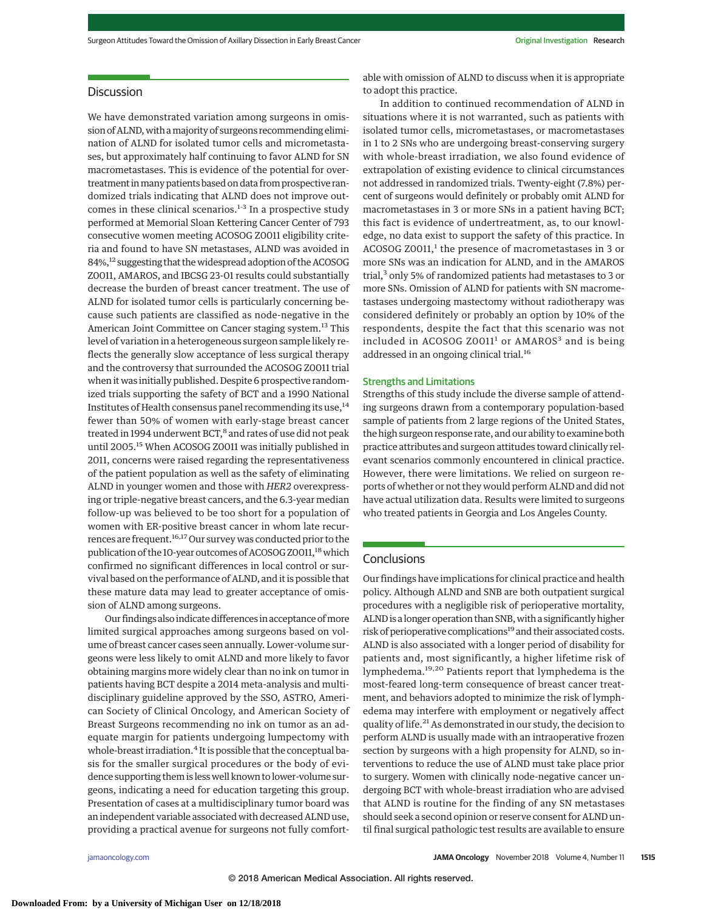# Discussion

We have demonstrated variation among surgeons in omission of ALND, with a majority of surgeons recommending elimination of ALND for isolated tumor cells and micrometastases, but approximately half continuing to favor ALND for SN macrometastases. This is evidence of the potential for overtreatment inmany patients based on data from prospective randomized trials indicating that ALND does not improve outcomes in these clinical scenarios.<sup>1-3</sup> In a prospective study performed at Memorial Sloan Kettering Cancer Center of 793 consecutive women meeting ACOSOG Z0011 eligibility criteria and found to have SN metastases, ALND was avoided in 84%,<sup>12</sup> suggesting that the widespread adoption of the ACOSOG Z0011, AMAROS, and IBCSG 23-01 results could substantially decrease the burden of breast cancer treatment. The use of ALND for isolated tumor cells is particularly concerning because such patients are classified as node-negative in the American Joint Committee on Cancer staging system.<sup>13</sup> This level of variation in a heterogeneous surgeon sample likely reflects the generally slow acceptance of less surgical therapy and the controversy that surrounded the ACOSOG Z0011 trial when it was initially published. Despite 6 prospective randomized trials supporting the safety of BCT and a 1990 National Institutes of Health consensus panel recommending its use, $14$ fewer than 50% of women with early-stage breast cancer treated in 1994 underwent BCT, $^8$  and rates of use did not peak until 2005.<sup>15</sup> When ACOSOG Z0011 was initially published in 2011, concerns were raised regarding the representativeness of the patient population as well as the safety of eliminating ALND in younger women and those with *HER2* overexpressing or triple-negative breast cancers, and the 6.3-year median follow-up was believed to be too short for a population of women with ER-positive breast cancer in whom late recurrences are frequent.<sup>16,17</sup> Our survey was conducted prior to the publication of the 10-year outcomes of ACOSOG Z0011,<sup>18</sup> which confirmed no significant differences in local control or survival based on the performance of ALND, and it is possible that these mature data may lead to greater acceptance of omission of ALND among surgeons.

Our findings also indicate differences in acceptance of more limited surgical approaches among surgeons based on volume of breast cancer cases seen annually. Lower-volume surgeons were less likely to omit ALND and more likely to favor obtaining margins more widely clear than no ink on tumor in patients having BCT despite a 2014 meta-analysis and multidisciplinary guideline approved by the SSO, ASTRO, American Society of Clinical Oncology, and American Society of Breast Surgeons recommending no ink on tumor as an adequate margin for patients undergoing lumpectomy with whole-breast irradiation.<sup>4</sup> It is possible that the conceptual basis for the smaller surgical procedures or the body of evidence supporting them is less well known to lower-volume surgeons, indicating a need for education targeting this group. Presentation of cases at a multidisciplinary tumor board was an independent variable associated with decreased ALND use, providing a practical avenue for surgeons not fully comfortable with omission of ALND to discuss when it is appropriate to adopt this practice.

In addition to continued recommendation of ALND in situations where it is not warranted, such as patients with isolated tumor cells, micrometastases, or macrometastases in 1 to 2 SNs who are undergoing breast-conserving surgery with whole-breast irradiation, we also found evidence of extrapolation of existing evidence to clinical circumstances not addressed in randomized trials. Twenty-eight (7.8%) percent of surgeons would definitely or probably omit ALND for macrometastases in 3 or more SNs in a patient having BCT; this fact is evidence of undertreatment, as, to our knowledge, no data exist to support the safety of this practice. In ACOSOG Z0011,<sup>1</sup> the presence of macrometastases in 3 or more SNs was an indication for ALND, and in the AMAROS trial,3 only 5% of randomized patients had metastases to 3 or more SNs. Omission of ALND for patients with SN macrometastases undergoing mastectomy without radiotherapy was considered definitely or probably an option by 10% of the respondents, despite the fact that this scenario was not included in ACOSOG Z0011<sup>1</sup> or AMAROS<sup>3</sup> and is being addressed in an ongoing clinical trial.16

#### Strengths and Limitations

Strengths of this study include the diverse sample of attending surgeons drawn from a contemporary population-based sample of patients from 2 large regions of the United States, the high surgeon response rate, and our ability to examine both practice attributes and surgeon attitudes toward clinically relevant scenarios commonly encountered in clinical practice. However, there were limitations. We relied on surgeon reports of whether or not they would perform ALND and did not have actual utilization data. Results were limited to surgeons who treated patients in Georgia and Los Angeles County.

#### **Conclusions**

Our findings have implications for clinical practice and health policy. Although ALND and SNB are both outpatient surgical procedures with a negligible risk of perioperative mortality, ALND is a longer operation than SNB, with a significantly higher risk of perioperative complications<sup>19</sup> and their associated costs. ALND is also associated with a longer period of disability for patients and, most significantly, a higher lifetime risk of lymphedema.19,20 Patients report that lymphedema is the most-feared long-term consequence of breast cancer treatment, and behaviors adopted to minimize the risk of lymphedema may interfere with employment or negatively affect quality of life.<sup>21</sup> As demonstrated in our study, the decision to perform ALND is usually made with an intraoperative frozen section by surgeons with a high propensity for ALND, so interventions to reduce the use of ALND must take place prior to surgery. Women with clinically node-negative cancer undergoing BCT with whole-breast irradiation who are advised that ALND is routine for the finding of any SN metastases should seek a second opinion or reserve consent for ALND until final surgical pathologic test results are available to ensure